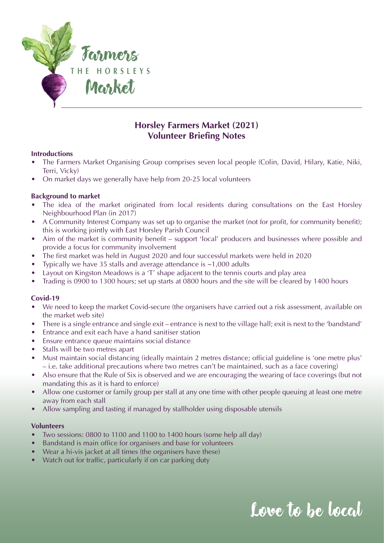

### **Horsley Farmers Market (2021) Volunteer Briefing Notes**

#### **Introductions**

- The Farmers Market Organising Group comprises seven local people (Colin, David, Hilary, Katie, Niki, Terri, Vicky)
- On market days we generally have help from 20-25 local volunteers

#### **Background to market**

- The idea of the market originated from local residents during consultations on the East Horsley Neighbourhood Plan (in 2017)
- A Community Interest Company was set up to organise the market (not for profit, for community benefit); this is working jointly with East Horsley Parish Council
- Aim of the market is community benefit support 'local' producers and businesses where possible and provide a focus for community involvement
- The first market was held in August 2020 and four successful markets were held in 2020
- Typically we have 35 stalls and average attendance is  $\sim$ 1,000 adults
- Layout on Kingston Meadows is a 'T' shape adjacent to the tennis courts and play area
- Trading is 0900 to 1300 hours; set up starts at 0800 hours and the site will be cleared by 1400 hours

#### **Covid-19**

- We need to keep the market Covid-secure (the organisers have carried out a risk assessment, available on the market web site)
- There is a single entrance and single exit entrance is next to the village hall; exit is next to the 'bandstand'
- Entrance and exit each have a hand sanitiser station
- Ensure entrance queue maintains social distance
- Stalls will be two metres apart
- Must maintain social distancing (ideally maintain 2 metres distance; official guideline is 'one metre plus' – i.e. take additional precautions where two metres can't be maintained, such as a face covering)
- Also ensure that the Rule of Six is observed and we are encouraging the wearing of face coverings (but not mandating this as it is hard to enforce)
- Allow one customer or family group per stall at any one time with other people queuing at least one metre away from each stall
- Allow sampling and tasting if managed by stallholder using disposable utensils

#### **Volunteers**

- Two sessions: 0800 to 1100 and 1100 to 1400 hours (some help all day)
- Bandstand is main office for organisers and base for volunteers
- Wear a hi-vis jacket at all times (the organisers have these)
- Watch out for traffic, particularly if on car parking duty

## Love to be local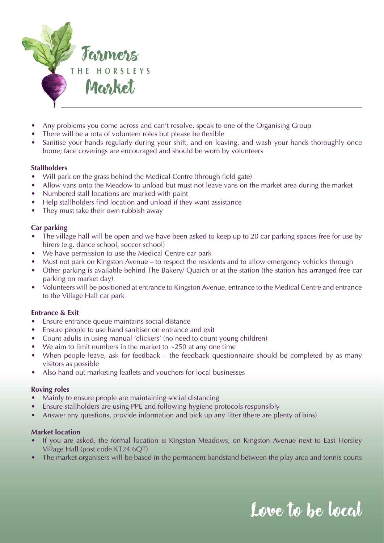

- Any problems you come across and can't resolve, speak to one of the Organising Group
- There will be a rota of volunteer roles but please be flexible
- Sanitise your hands regularly during your shift, and on leaving, and wash your hands thoroughly once home; face coverings are encouraged and should be worn by volunteers

#### **Stallholders**

- Will park on the grass behind the Medical Centre (through field gate)
- Allow vans onto the Meadow to unload but must not leave vans on the market area during the market
- Numbered stall locations are marked with paint
- Help stallholders find location and unload if they want assistance
- They must take their own rubbish away

#### **Car parking**

- The village hall will be open and we have been asked to keep up to 20 car parking spaces free for use by hirers (e.g. dance school, soccer school)
- We have permission to use the Medical Centre car park
- Must not park on Kingston Avenue to respect the residents and to allow emergency vehicles through
- Other parking is available behind The Bakery/ Quaich or at the station (the station has arranged free car parking on market day)
- Volunteers will be positioned at entrance to Kingston Avenue, entrance to the Medical Centre and entrance to the Village Hall car park

#### **Entrance & Exit**

- Ensure entrance queue maintains social distance
- Ensure people to use hand sanitiser on entrance and exit
- Count adults in using manual 'clickers' (no need to count young children)
- We aim to limit numbers in the market to  $\sim$ 250 at any one time
- When people leave, ask for feedback the feedback questionnaire should be completed by as many visitors as possible
- Also hand out marketing leaflets and vouchers for local businesses

#### **Roving roles**

- Mainly to ensure people are maintaining social distancing
- Ensure stallholders are using PPE and following hygiene protocols responsibly
- Answer any questions, provide information and pick up any litter (there are plenty of bins)

#### **Market location**

- If you are asked, the formal location is Kingston Meadows, on Kingston Avenue next to East Horsley Village Hall (post code KT24 6QT)
- The market organisers will be based in the permanent bandstand between the play area and tennis courts

# Love to be local